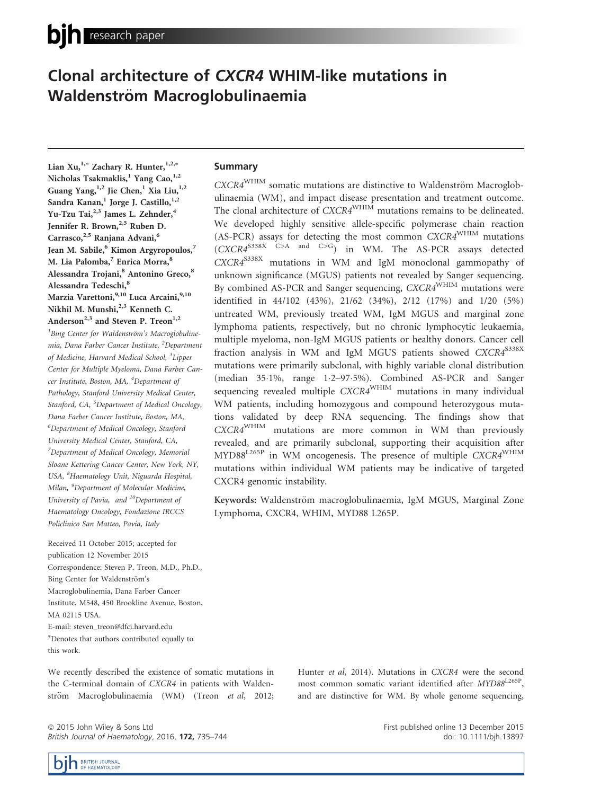# Clonal architecture of CXCR4 WHIM-like mutations in Waldenström Macroglobulinaemia

Lian Xu,<sup>1,\*</sup> Zachary R. Hunter,<sup>1,2,\*</sup> Nicholas Tsakmaklis,<sup>1</sup> Yang Cao,<sup>1,2</sup> Guang Yang, 1,2 Jie Chen, 1 Xia Liu, 1,2 Sandra Kanan,<sup>1</sup> Jorge J. Castillo,<sup>1,2</sup> Yu-Tzu Tai,<sup>2,3</sup> James L. Zehnder,<sup>4</sup> Jennifer R. Brown,<sup>2,5</sup> Ruben D. Carrasco,<sup>2,5</sup> Ranjana Advani,<sup>6</sup> Jean M. Sabile,<sup>6</sup> Kimon Argyropoulos,<sup>7</sup> M. Lia Palomba,<sup>7</sup> Enrica Morra,<sup>8</sup> Alessandra Trojani,<sup>8</sup> Antonino Greco,<sup>8</sup> Alessandra Tedeschi,<sup>8</sup> Marzia Varettoni,<sup>9,10</sup> Luca Arcaini,<sup>9,10</sup> Nikhil M. Munshi,<sup>2,3</sup> Kenneth C. Anderson<sup>2,3</sup> and Steven P. Treon<sup>1,2</sup> <sup>1</sup>Bing Center for Waldenström's Macroglobulinemia, Dana Farber Cancer Institute, <sup>2</sup>Department of Medicine, Harvard Medical School, <sup>3</sup>Lipper Center for Multiple Myeloma, Dana Farber Cancer Institute, Boston, MA, <sup>4</sup>Department of Pathology, Stanford University Medical Center, Stanford, CA, <sup>5</sup>Department of Medical Oncology, Dana Farber Cancer Institute, Boston, MA, 6 Department of Medical Oncology, Stanford University Medical Center, Stanford, CA, <sup>7</sup>Department of Medical Oncology, Memorial Sloane Kettering Cancer Center, New York, NY, USA, <sup>8</sup>Haematology Unit, Niguarda Hospital, Milan, <sup>9</sup>Department of Molecular Medicine, University of Pavia, and <sup>10</sup>Department of Haematology Oncology, Fondazione IRCCS Policlinico San Matteo, Pavia, Italy

Received 11 October 2015; accepted for publication 12 November 2015 Correspondence: Steven P. Treon, M.D., Ph.D., Bing Center for Waldenström's Macroglobulinemia, Dana Farber Cancer Institute, M548, 450 Brookline Avenue, Boston, MA 02115 USA. E-mail: steven\_treon@dfci.harvard.edu ⁄ Denotes that authors contributed equally to

this work.

We recently described the existence of somatic mutations in the C-terminal domain of CXCR4 in patients with Waldenström Macroglobulinaemia (WM) (Treon et al, 2012;

ª 2015 John Wiley & Sons Ltd British Journal of Haematology, 2016, 172, 735-744

# **Summary**

CXCR4<sup>WHIM</sup> somatic mutations are distinctive to Waldenström Macroglobulinaemia (WM), and impact disease presentation and treatment outcome. The clonal architecture of CXCR4<sup>WHIM</sup> mutations remains to be delineated. We developed highly sensitive allele-specific polymerase chain reaction (AS-PCR) assays for detecting the most common CXCR4WHIM mutations  $(CXCR4^{5338X}$  C>A and C>G) in WM. The AS-PCR assays detected CXCR4S338X mutations in WM and IgM monoclonal gammopathy of unknown significance (MGUS) patients not revealed by Sanger sequencing. By combined AS-PCR and Sanger sequencing,  $CXCRA^{WHIM}$  mutations were identified in 44/102 (43%), 21/62 (34%), 2/12 (17%) and 1/20 (5%) untreated WM, previously treated WM, IgM MGUS and marginal zone lymphoma patients, respectively, but no chronic lymphocytic leukaemia, multiple myeloma, non-IgM MGUS patients or healthy donors. Cancer cell fraction analysis in WM and IgM MGUS patients showed CXCR4<sup>S338X</sup> mutations were primarily subclonal, with highly variable clonal distribution (median 35.1%, range 1.2-97.5%). Combined AS-PCR and Sanger sequencing revealed multiple CXCR4<sup>WHIM</sup> mutations in many individual WM patients, including homozygous and compound heterozygous mutations validated by deep RNA sequencing. The findings show that CXCR4WHIM mutations are more common in WM than previously revealed, and are primarily subclonal, supporting their acquisition after MYD88<sup>L265P</sup> in WM oncogenesis. The presence of multiple CXCR4<sup>WHIM</sup> mutations within individual WM patients may be indicative of targeted CXCR4 genomic instability.

Keywords: Waldenström macroglobulinaemia, IgM MGUS, Marginal Zone Lymphoma, CXCR4, WHIM, MYD88 L265P.

> Hunter et al, 2014). Mutations in CXCR4 were the second most common somatic variant identified after MYD88L265P, and are distinctive for WM. By whole genome sequencing,

> > First published online 13 December 2015 doi: 10.1111/bjh.13897

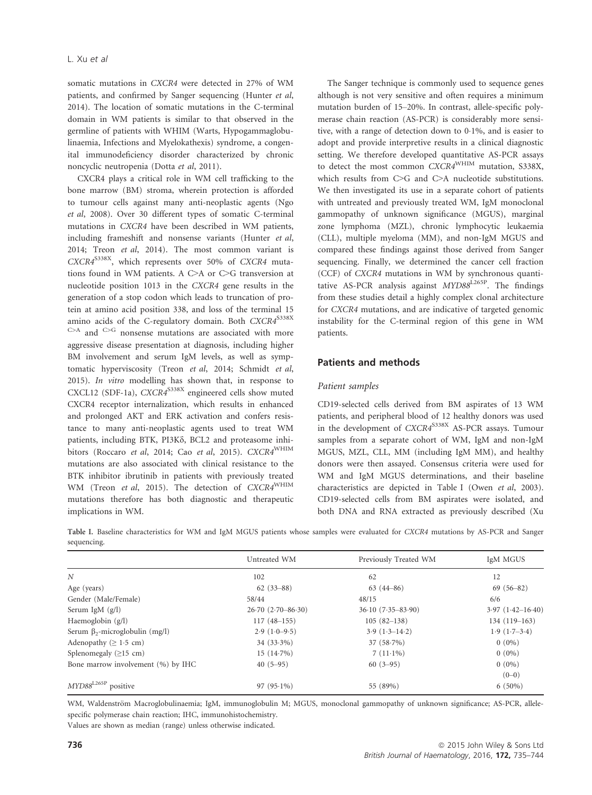somatic mutations in CXCR4 were detected in 27% of WM patients, and confirmed by Sanger sequencing (Hunter et al, 2014). The location of somatic mutations in the C-terminal domain in WM patients is similar to that observed in the germline of patients with WHIM (Warts, Hypogammaglobulinaemia, Infections and Myelokathexis) syndrome, a congenital immunodeficiency disorder characterized by chronic noncyclic neutropenia (Dotta et al, 2011).

CXCR4 plays a critical role in WM cell trafficking to the bone marrow (BM) stroma, wherein protection is afforded to tumour cells against many anti-neoplastic agents (Ngo et al, 2008). Over 30 different types of somatic C-terminal mutations in CXCR4 have been described in WM patients, including frameshift and nonsense variants (Hunter et al, 2014; Treon et al, 2014). The most common variant is CXCR4<sup>S338X</sup>, which represents over 50% of CXCR4 mutations found in WM patients. A C>A or C>G transversion at nucleotide position 1013 in the CXCR4 gene results in the generation of a stop codon which leads to truncation of protein at amino acid position 338, and loss of the terminal 15 amino acids of the C-regulatory domain. Both  $CXCRA^{S338X}$ C>A and C>G nonsense mutations are associated with more aggressive disease presentation at diagnosis, including higher BM involvement and serum IgM levels, as well as symptomatic hyperviscosity (Treon et al, 2014; Schmidt et al, 2015). In vitro modelling has shown that, in response to CXCL12 (SDF-1a), CXCR4<sup>S338X</sup> engineered cells show muted CXCR4 receptor internalization, which results in enhanced and prolonged AKT and ERK activation and confers resistance to many anti-neoplastic agents used to treat WM patients, including BTK, PI3K $\delta$ , BCL2 and proteasome inhibitors (Roccaro et al, 2014; Cao et al, 2015). CXCR4<sup>WHIM</sup> mutations are also associated with clinical resistance to the BTK inhibitor ibrutinib in patients with previously treated WM (Treon et al, 2015). The detection of CXCR4<sup>WHIM</sup> mutations therefore has both diagnostic and therapeutic implications in WM.

The Sanger technique is commonly used to sequence genes although is not very sensitive and often requires a minimum mutation burden of 15–20%. In contrast, allele-specific polymerase chain reaction (AS-PCR) is considerably more sensitive, with a range of detection down to 01%, and is easier to adopt and provide interpretive results in a clinical diagnostic setting. We therefore developed quantitative AS-PCR assays to detect the most common CXCR4<sup>WHIM</sup> mutation, S338X, which results from C>G and C>A nucleotide substitutions. We then investigated its use in a separate cohort of patients with untreated and previously treated WM, IgM monoclonal gammopathy of unknown significance (MGUS), marginal zone lymphoma (MZL), chronic lymphocytic leukaemia (CLL), multiple myeloma (MM), and non-IgM MGUS and compared these findings against those derived from Sanger sequencing. Finally, we determined the cancer cell fraction (CCF) of CXCR4 mutations in WM by synchronous quantitative AS-PCR analysis against MYD88L265P. The findings from these studies detail a highly complex clonal architecture for CXCR4 mutations, and are indicative of targeted genomic instability for the C-terminal region of this gene in WM patients.

# Patients and methods

#### Patient samples

CD19-selected cells derived from BM aspirates of 13 WM patients, and peripheral blood of 12 healthy donors was used in the development of CXCR4<sup>S338X</sup> AS-PCR assays. Tumour samples from a separate cohort of WM, IgM and non-IgM MGUS, MZL, CLL, MM (including IgM MM), and healthy donors were then assayed. Consensus criteria were used for WM and IgM MGUS determinations, and their baseline characteristics are depicted in Table I (Owen et al, 2003). CD19-selected cells from BM aspirates were isolated, and both DNA and RNA extracted as previously described (Xu

Table I. Baseline characteristics for WM and IgM MGUS patients whose samples were evaluated for CXCR4 mutations by AS-PCR and Sanger sequencing.

|                                       | Untreated WM        | Previously Treated WM | IgM MGUS             |
|---------------------------------------|---------------------|-----------------------|----------------------|
| N                                     | 102                 | 62                    | 12                   |
| Age (years)                           | $62(33-88)$         | $63(44-86)$           | $69(56-82)$          |
| Gender (Male/Female)                  | 58/44               | 48/15                 | 6/6                  |
| Serum IgM $(g/l)$                     | $26.70(2.70-86.30)$ | $36.10(7.35 - 83.90)$ | $3.97(1.42 - 16.40)$ |
| Haemoglobin (g/l)                     | $117(48-155)$       | $105(82-138)$         | $134(119-163)$       |
| Serum $\beta_2$ -microglobulin (mg/l) | $2.9(1.0-9.5)$      | $3.9(1.3-14.2)$       | $1.9(1.7-3.4)$       |
| Adenopathy ( $\geq 1.5$ cm)           | $34(33.3\%)$        | $37(58.7\%)$          | $0(0\%)$             |
| Splenomegaly $(\geq 15$ cm)           | $15(14.7\%)$        | $7(11.1\%)$           | $0(0\%)$             |
| Bone marrow involvement (%) by IHC    | $40(5-95)$          | $60(3-95)$            | $0(0\%)$             |
|                                       |                     |                       | $(0-0)$              |
| MYD88L265P positive                   | $97(95.1\%)$        | 55 (89%)              | $6(50\%)$            |

WM, Waldenström Macroglobulinaemia; IgM, immunoglobulin M; MGUS, monoclonal gammopathy of unknown significance; AS-PCR, allelespecific polymerase chain reaction; IHC, immunohistochemistry.

Values are shown as median (range) unless otherwise indicated.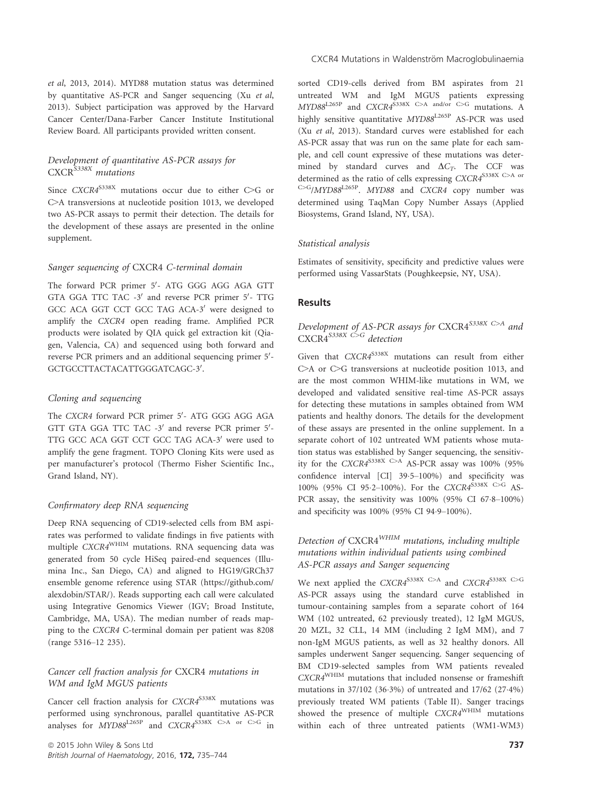et al, 2013, 2014). MYD88 mutation status was determined by quantitative AS-PCR and Sanger sequencing (Xu et al, 2013). Subject participation was approved by the Harvard Cancer Center/Dana-Farber Cancer Institute Institutional Review Board. All participants provided written consent.

# Development of quantitative AS-PCR assays for CXCR<sup>5338X</sup> mutations

Since  $CXCRA^{S338X}$  mutations occur due to either C>G or C>A transversions at nucleotide position 1013, we developed two AS-PCR assays to permit their detection. The details for the development of these assays are presented in the online supplement.

#### Sanger sequencing of CXCR4 C-terminal domain

The forward PCR primer 5'- ATG GGG AGG AGA GTT GTA GGA TTC TAC -3' and reverse PCR primer 5'- TTG GCC ACA GGT CCT GCC TAG ACA-3' were designed to amplify the CXCR4 open reading frame. Amplified PCR products were isolated by QIA quick gel extraction kit (Qiagen, Valencia, CA) and sequenced using both forward and reverse PCR primers and an additional sequencing primer 5'-GCTGCCTTACTACATTGGGATCAGC-3'.

#### Cloning and sequencing

The CXCR4 forward PCR primer 5'- ATG GGG AGG AGA GTT GTA GGA TTC TAC -3' and reverse PCR primer 5'-TTG GCC ACA GGT CCT GCC TAG ACA-3' were used to amplify the gene fragment. TOPO Cloning Kits were used as per manufacturer's protocol (Thermo Fisher Scientific Inc., Grand Island, NY).

## Confirmatory deep RNA sequencing

Deep RNA sequencing of CD19-selected cells from BM aspirates was performed to validate findings in five patients with multiple CXCR4WHIM mutations. RNA sequencing data was generated from 50 cycle HiSeq paired-end sequences (Illumina Inc., San Diego, CA) and aligned to HG19/GRCh37 ensemble genome reference using STAR [\(https://github.com/](https://github.com/alexdobin/STAR/) [alexdobin/STAR/](https://github.com/alexdobin/STAR/)). Reads supporting each call were calculated using Integrative Genomics Viewer (IGV; Broad Institute, Cambridge, MA, USA). The median number of reads mapping to the CXCR4 C-terminal domain per patient was 8208 (range 5316–12 235).

## Cancer cell fraction analysis for CXCR4 mutations in WM and IgM MGUS patients

Cancer cell fraction analysis for CXCR4<sup>S338X</sup> mutations was performed using synchronous, parallel quantitative AS-PCR analyses for  $MYD88^{L265P}$  and  $CXCRA^{S338X}$  C>A or C>G in sorted CD19-cells derived from BM aspirates from 21 untreated WM and IgM MGUS patients expressing  $MYD88^{L265P}$  and  $CXCR4^{S338X}$  C>A and/or C>G mutations. A highly sensitive quantitative MYD88L265P AS-PCR was used (Xu et al, 2013). Standard curves were established for each AS-PCR assay that was run on the same plate for each sample, and cell count expressive of these mutations was determined by standard curves and  $\Delta C_T$ . The CCF was determined as the ratio of cells expressing CXCR4S338X C>A or C>G/MYD88L265P. MYD88 and CXCR4 copy number was determined using TaqMan Copy Number Assays (Applied Biosystems, Grand Island, NY, USA).

## Statistical analysis

Estimates of sensitivity, specificity and predictive values were performed using VassarStats (Poughkeepsie, NY, USA).

# **Results**

# Development of AS-PCR assays for CXCR4<sup>S338X C>A</sup> and  $CXCR4^{S338X}$  C>G detection

Given that  $CXCRA^{S338X}$  mutations can result from either C>A or C>G transversions at nucleotide position 1013, and are the most common WHIM-like mutations in WM, we developed and validated sensitive real-time AS-PCR assays for detecting these mutations in samples obtained from WM patients and healthy donors. The details for the development of these assays are presented in the online supplement. In a separate cohort of 102 untreated WM patients whose mutation status was established by Sanger sequencing, the sensitivity for the CXCR4<sup>S338X C>A</sup> AS-PCR assay was 100% (95% confidence interval [CI] 39.5-100%) and specificity was 100% (95% CI 95.2-100%). For the CXCR4<sup>S338X C>G</sup> AS-PCR assay, the sensitivity was 100% (95% CI 67.8-100%) and specificity was 100% (95% CI 94.9-100%).

# Detection of CXCR4WHIM mutations, including multiple mutations within individual patients using combined AS-PCR assays and Sanger sequencing

We next applied the  $CXCRA^{S338X}$  C>A and  $CXCRA^{S338X}$  C>G AS-PCR assays using the standard curve established in tumour-containing samples from a separate cohort of 164 WM (102 untreated, 62 previously treated), 12 IgM MGUS, 20 MZL, 32 CLL, 14 MM (including 2 IgM MM), and 7 non-IgM MGUS patients, as well as 32 healthy donors. All samples underwent Sanger sequencing. Sanger sequencing of BM CD19-selected samples from WM patients revealed CXCR4WHIM mutations that included nonsense or frameshift mutations in 37/102 (363%) of untreated and 17/62 (274%) previously treated WM patients (Table II). Sanger tracings showed the presence of multiple CXCR4<sup>WHIM</sup> mutations within each of three untreated patients (WM1-WM3)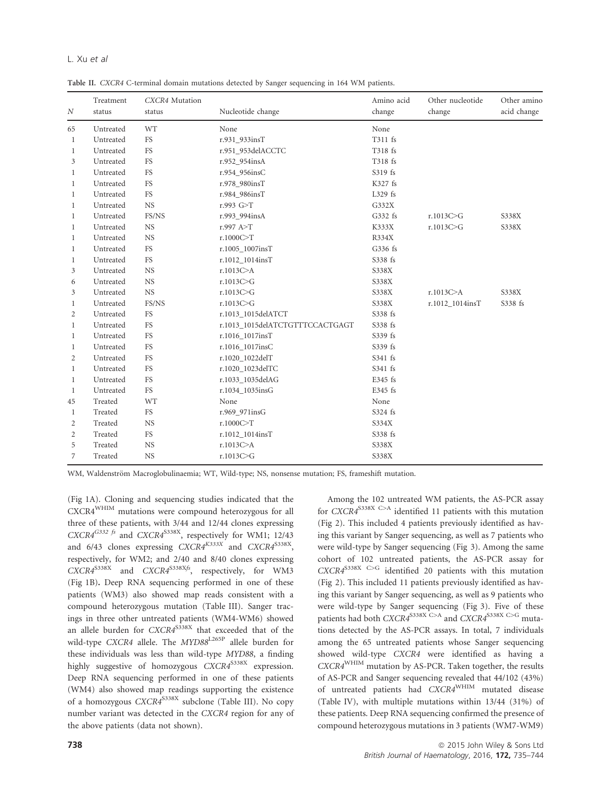# L. Xu et al

Table II. CXCR4 C-terminal domain mutations detected by Sanger sequencing in 164 WM patients.

| $\boldsymbol{N}$ | Treatment<br>status | CXCR4 Mutation<br>status | Nucleotide change               | Amino acid<br>change | Other nucleotide<br>change | Other amino<br>acid change |
|------------------|---------------------|--------------------------|---------------------------------|----------------------|----------------------------|----------------------------|
| 65               | Untreated           | WT                       | None                            | None                 |                            |                            |
| 1                | Untreated           | <b>FS</b>                | r.931 933insT                   | T311 fs              |                            |                            |
| 1                | Untreated           | FS                       | r.951 953delACCTC               | T318 fs              |                            |                            |
| 3                | Untreated           | FS                       | r.952_954insA                   | T318 fs              |                            |                            |
| 1                | Untreated           | <b>FS</b>                | r.954_956insC                   | S319 fs              |                            |                            |
| 1                | Untreated           | <b>FS</b>                | r.978_980insT                   | K327 fs              |                            |                            |
| 1                | Untreated           | FS                       | r.984 986insT                   | L329 fs              |                            |                            |
| $\mathbf{1}$     | Untreated           | <b>NS</b>                | r.993 G>T                       | G332X                |                            |                            |
| $\mathbf{1}$     | Untreated           | FS/NS                    | r.993_994insA                   | G332 fs              | r.1013C>G                  | S338X                      |
| 1                | Untreated           | <b>NS</b>                | r.997 $A > T$                   | K333X                | r.1013C>G                  | S338X                      |
| $\mathbf{1}$     | Untreated           | <b>NS</b>                | r.1000C > T                     | R334X                |                            |                            |
| $\mathbf{1}$     | Untreated           | FS                       | r.1005_1007insT                 | G336 fs              |                            |                            |
| $\mathbf{1}$     | Untreated           | <b>FS</b>                | r.1012_1014insT                 | S338 fs              |                            |                            |
| 3                | Untreated           | <b>NS</b>                | r.1013C>A                       | S338X                |                            |                            |
| 6                | Untreated           | <b>NS</b>                | r.1013C>G                       | S338X                |                            |                            |
| 3                | Untreated           | <b>NS</b>                | r.1013C>G                       | S338X                | r.1013C > A                | S338X                      |
| 1                | Untreated           | FS/NS                    | r.1013C > G                     | S338X                | r.1012_1014insT            | S338 fs                    |
| $\overline{2}$   | Untreated           | FS                       | r.1013 1015delATCT              | S338 fs              |                            |                            |
| $\mathbf{1}$     | Untreated           | FS                       | r.1013 1015delATCTGTTTCCACTGAGT | S338 fs              |                            |                            |
| 1                | Untreated           | FS                       | r.1016_1017insT                 | S339 fs              |                            |                            |
| 1                | Untreated           | FS                       | r.1016_1017insC                 | S339 fs              |                            |                            |
| $\overline{2}$   | Untreated           | FS                       | r.1020_1022delT                 | S341 fs              |                            |                            |
| 1                | Untreated           | FS                       | r.1020 1023delTC                | S341 fs              |                            |                            |
| $\mathbf{1}$     | Untreated           | FS                       | r.1033_1035delAG                | E345 fs              |                            |                            |
| 1                | Untreated           | FS                       | r.1034_1035insG                 | E345 fs              |                            |                            |
| 45               | Treated             | <b>WT</b>                | None                            | None                 |                            |                            |
| 1                | Treated             | FS                       | r.969 971insG                   | S324 fs              |                            |                            |
| $\mathfrak{2}$   | Treated             | <b>NS</b>                | r.1000C > T                     | S334X                |                            |                            |
| $\mathfrak{2}$   | Treated             | <b>FS</b>                | r.1012_1014insT                 | S338 fs              |                            |                            |
| 5                | Treated             | <b>NS</b>                | r.1013C>A                       | S338X                |                            |                            |
| 7                | Treated             | <b>NS</b>                | r.1013C>G                       | S338X                |                            |                            |

WM, Waldenström Macroglobulinaemia; WT, Wild-type; NS, nonsense mutation; FS, frameshift mutation.

(Fig 1A). Cloning and sequencing studies indicated that the CXCR4WHIM mutations were compound heterozygous for all three of these patients, with 3/44 and 12/44 clones expressing  $CXCRA^{G332 f5}$  and  $CXCRA^{S338X}$ , respectively for WM1; 12/43 and  $6/43$  clones expressing  $CXCR4^{K333X}$  and  $CXCR4^{S338X}$ , respectively, for WM2; and 2/40 and 8/40 clones expressing  $CXCRA^{S338X}$  and  $CXCRA^{S338Xf}$ , respectively, for WM3 (Fig 1B). Deep RNA sequencing performed in one of these patients (WM3) also showed map reads consistent with a compound heterozygous mutation (Table III). Sanger tracings in three other untreated patients (WM4-WM6) showed an allele burden for  $CXCRA^{S338X}$  that exceeded that of the wild-type CXCR4 allele. The MYD88<sup>L265P</sup> allele burden for these individuals was less than wild-type MYD88, a finding highly suggestive of homozygous  $CXCRA^{S338X}$  expression. Deep RNA sequencing performed in one of these patients (WM4) also showed map readings supporting the existence of a homozygous CXCR4S338X subclone (Table III). No copy number variant was detected in the CXCR4 region for any of the above patients (data not shown).

Among the 102 untreated WM patients, the AS-PCR assay for  $CXCR4^{S338X}$  C>A identified 11 patients with this mutation (Fig 2). This included 4 patients previously identified as having this variant by Sanger sequencing, as well as 7 patients who were wild-type by Sanger sequencing (Fig 3). Among the same cohort of 102 untreated patients, the AS-PCR assay for  $CXCRA^{S338X}$  C>G identified 20 patients with this mutation (Fig 2). This included 11 patients previously identified as having this variant by Sanger sequencing, as well as 9 patients who were wild-type by Sanger sequencing (Fig 3). Five of these patients had both CXCR4S338X C>A and CXCR4S338X C>G mutations detected by the AS-PCR assays. In total, 7 individuals among the 65 untreated patients whose Sanger sequencing showed wild-type CXCR4 were identified as having a  $CXCRA^{WHIM}$  mutation by AS-PCR. Taken together, the results of AS-PCR and Sanger sequencing revealed that 44/102 (43%) of untreated patients had CXCR4WHIM mutated disease (Table IV), with multiple mutations within 13/44 (31%) of these patients. Deep RNA sequencing confirmed the presence of compound heterozygous mutations in 3 patients (WM7-WM9)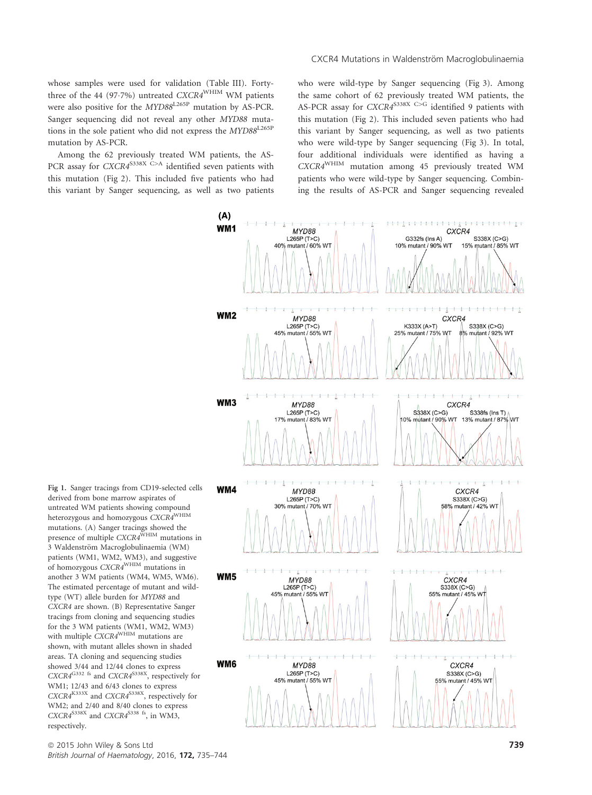whose samples were used for validation (Table III). Fortythree of the 44 (97.7%) untreated CXCR4<sup>WHIM</sup> WM patients were also positive for the  $MYD88^{L265P}$  mutation by AS-PCR. Sanger sequencing did not reveal any other MYD88 mutations in the sole patient who did not express the MYD88<sup>L265P</sup> mutation by AS-PCR.

Among the 62 previously treated WM patients, the AS-PCR assay for  $CXCR4^{S338X}$  C>A identified seven patients with this mutation (Fig 2). This included five patients who had this variant by Sanger sequencing, as well as two patients who were wild-type by Sanger sequencing (Fig 3). Among the same cohort of 62 previously treated WM patients, the AS-PCR assay for  $CXCR4^{S338X}$  C>G identified 9 patients with this mutation (Fig 2). This included seven patients who had this variant by Sanger sequencing, as well as two patients who were wild-type by Sanger sequencing (Fig 3). In total, four additional individuals were identified as having a CXCR4WHIM mutation among 45 previously treated WM patients who were wild-type by Sanger sequencing. Combining the results of AS-PCR and Sanger sequencing revealed



Fig 1. Sanger tracings from CD19-selected cells derived from bone marrow aspirates of untreated WM patients showing compound heterozygous and homozygous CXCR4WHIM mutations. (A) Sanger tracings showed the<br>presence of multiple CXCR4<sup>WHIM</sup> mutations in 3 Waldenström Macroglobulinaemia (WM) patients (WM1, WM2, WM3), and suggestive of homozygous CXCR4<sup>WHIM</sup> mutations in another 3 WM patients (WM4, WM5, WM6). The estimated percentage of mutant and wildtype (WT) allele burden for MYD88 and CXCR4 are shown. (B) Representative Sanger tracings from cloning and sequencing studies for the 3 WM patients (WM1, WM2, WM3)<br>with multiple CXCR4<sup>WHIM</sup> mutations are shown, with mutant alleles shown in shaded areas. TA cloning and sequencing studies showed 3/44 and 12/44 clones to express  $CXCR4^{G332}$  fs and  $CXCR4^{S338X}$ , respectively for WM1; 12/43 and 6/43 clones to express  $CXCRA^{K333X}$  and  $CXCRA^{S338X}$ , respectively for WM2; and 2/40 and 8/40 clones to express  $CXCR4^{S338X}$  and  $CXCR4^{S338S}$  fs, in WM3, respectively.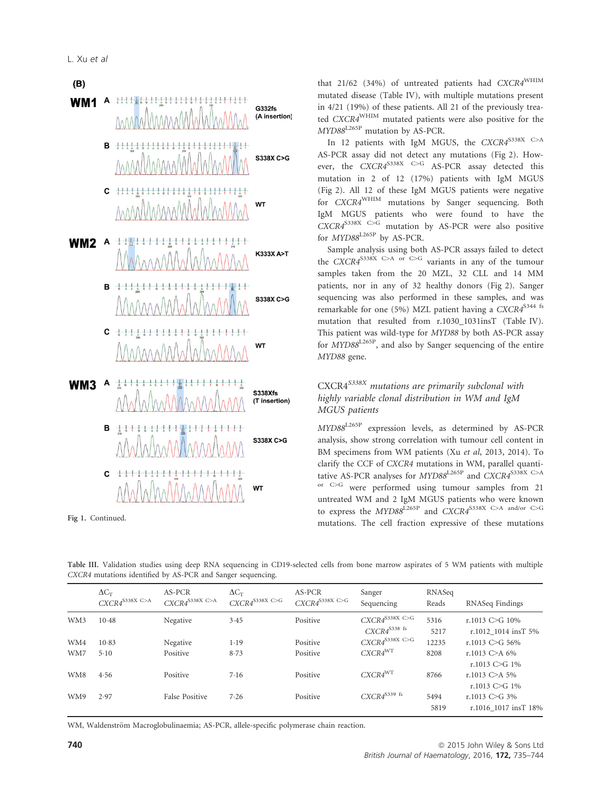# $(B)$ **WM1** A \*\*\*\*\*\*\*\*\*\*\*\*\*\*\*\*\*\*\*\*\*\*\*\*\*\*\*\* G332fs (A insertion)  $B + H$ S338X C>G  $C$   $\leftarrow$ WT **WM2** A  $-\frac{1}{6} - \frac{1}{2} + \frac{1}{16}$ K333X A>T B  $+1 + 1$ S338X C>G C **WT WM3 A** S338Xfs (T insertion) в  $-1 - 1 - 1$  $1 - 1 - 1 - 1 - 1$ S338X C>G WT Fig 1. Continued.<br>
Express the Integration expressive of these mutations Figure 2.1 and 2.1 and 2.1 continued.

that 21/62 (34%) of untreated patients had CXCR4WHIM mutated disease (Table IV), with multiple mutations present in 4/21 (19%) of these patients. All 21 of the previously treated CXCR4WHIM mutated patients were also positive for the MYD88L265P mutation by AS-PCR.

In 12 patients with IgM MGUS, the  $CXCR4^{S338X}$  C>A AS-PCR assay did not detect any mutations (Fig 2). However, the  $CXCRA^{S338X}$  C>G AS-PCR assay detected this mutation in 2 of 12 (17%) patients with IgM MGUS (Fig 2). All 12 of these IgM MGUS patients were negative for CXCR4WHIM mutations by Sanger sequencing. Both IgM MGUS patients who were found to have the  $CXCRA^{S338X}$  C>G mutation by AS-PCR were also positive for  $MYD88^{L265P}$  by AS-PCR.

Sample analysis using both AS-PCR assays failed to detect the  $CXCRA^{S338X}$  C>A or C>G variants in any of the tumour samples taken from the 20 MZL, 32 CLL and 14 MM patients, nor in any of 32 healthy donors (Fig 2). Sanger sequencing was also performed in these samples, and was remarkable for one (5%) MZL patient having a CXCR4<sup>S344 fs</sup> mutation that resulted from r.1030\_1031insT (Table IV). This patient was wild-type for MYD88 by both AS-PCR assay for  $\hat{M}YD88^{\text{L265P}}$ , and also by Sanger sequencing of the entire MYD88 gene.

# CXCR4<sup>S338X</sup> mutations are primarily subclonal with highly variable clonal distribution in WM and IgM MGUS patients

MYD88L265P expression levels, as determined by AS-PCR analysis, show strong correlation with tumour cell content in BM specimens from WM patients (Xu et al, 2013, 2014). To clarify the CCF of CXCR4 mutations in WM, parallel quantitative AS-PCR analyses for  $MYD88^{L265P}$  and  $CXCR4^{S338X}$  C>A or C>G were performed using tumour samples from 21 untreated WM and 2 IgM MGUS patients who were known to express the MYD88L265P and CXCR4S338X C>A and/or C>G

| Table III. Validation studies using deep RNA sequencing in CD19-selected cells from bone marrow aspirates of 5 WM patients with multiple |  |  |  |  |  |  |  |  |
|------------------------------------------------------------------------------------------------------------------------------------------|--|--|--|--|--|--|--|--|
| CXCR4 mutations identified by AS-PCR and Sanger sequencing.                                                                              |  |  |  |  |  |  |  |  |

|     | $\Delta C_T$<br>$CXCR4^{\text{S338X C>A}}$ | AS-PCR<br>$CXCR4^{\text{S338X C>A}}$ | $\Delta C_T$<br>$CXCR4^{\text{S338X C>G}}$ | AS-PCR<br>$CXCR4^{\$338X\_C>G}$ | Sanger<br>Sequencing                                    | RNASeq<br>Reads | RNASeq Findings                              |
|-----|--------------------------------------------|--------------------------------------|--------------------------------------------|---------------------------------|---------------------------------------------------------|-----------------|----------------------------------------------|
| WM3 | $10-48$                                    | Negative                             | 3.45                                       | Positive                        | $CXCR4^{\text{S338X C>G}}$<br>$CXCR4^{S338 \text{ fs}}$ | 5316<br>5217    | r.1013 C $\geq$ G 10%<br>r.1012 1014 insT 5% |
| WM4 | 10.83                                      | Negative                             | 1.19                                       | Positive                        | $CXCR4^{\text{S338X C>G}}$                              | 12235           | r.1013 C>G 56%                               |
| WM7 | $5-10$                                     | Positive                             | 8.73                                       | Positive                        | $CXCR4^{WT}$                                            | 8208            | r.1013 C>A $6\%$<br>r.1013 C $\geq$ G 1%     |
| WM8 | 4.56                                       | Positive                             | 7.16                                       | Positive                        | $CXCR4^{WT}$                                            | 8766            | r.1013 C>A 5%<br>r.1013 C $\geq$ G 1%        |
| WM9 | 2.97                                       | False Positive                       | 7.26                                       | Positive                        | $CXCR4^{\$339\text{ fs}}$                               | 5494<br>5819    | r.1013 C $\geq$ G 3%<br>r.1016 1017 insT 18% |

WM, Waldenström Macroglobulinaemia; AS-PCR, allele-specific polymerase chain reaction.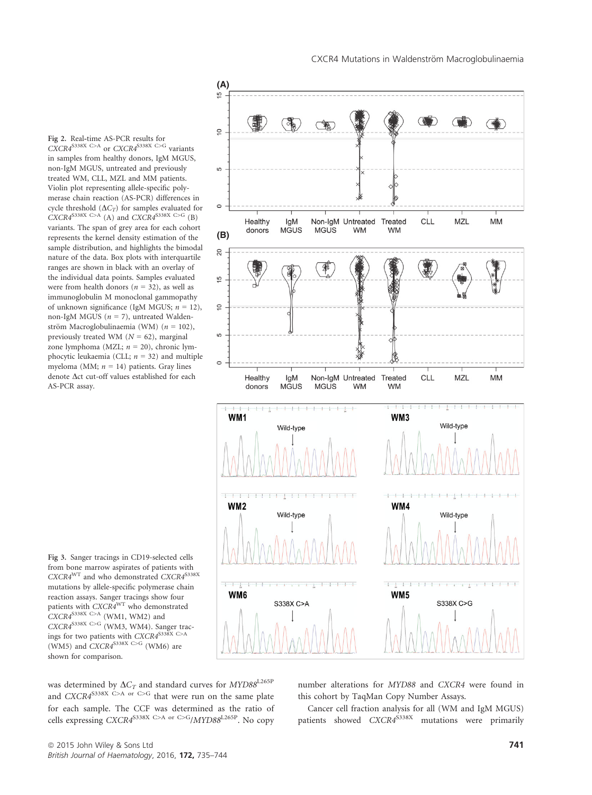Fig 2. Real-time AS-PCR results for  $CXCRA^{S338X}$  C>A or  $CXCRA^{S338X}$  C>G variants in samples from healthy donors, IgM MGUS, non-IgM MGUS, untreated and previously treated WM, CLL, MZL and MM patients. Violin plot representing allele-specific polymerase chain reaction (AS-PCR) differences in cycle threshold  $(\Delta C_T)$  for samples evaluated for  $CXCRA^{S338X} \xrightarrow{C>A} (A)$  and  $CXCRA^{S338X} \xrightarrow{C>G} (B)$ variants. The span of grey area for each cohort represents the kernel density estimation of the sample distribution, and highlights the bimodal nature of the data. Box plots with interquartile ranges are shown in black with an overlay of the individual data points. Samples evaluated were from health donors ( $n = 32$ ), as well as immunoglobulin M monoclonal gammopathy of unknown significance (IgM MGUS;  $n = 12$ ), non-IgM MGUS ( $n = 7$ ), untreated Waldenström Macroglobulinaemia (WM) ( $n = 102$ ), previously treated WM ( $N = 62$ ), marginal zone lymphoma (MZL;  $n = 20$ ), chronic lymphocytic leukaemia (CLL;  $n = 32$ ) and multiple myeloma (MM;  $n = 14$ ) patients. Gray lines denote  $\Delta$ ct cut-off values established for each AS-PCR assay.





was determined by  $\Delta C_T$  and standard curves for  $MYD88^{\text{L265P}}$ and  $CXCRA^{S338X}$  C>A or C>G that were run on the same plate for each sample. The CCF was determined as the ratio of cells expressing CXCR4<sup>S338X C>A</sup> or <sup>C>G</sup>/MYD88<sup>L265P</sup>. No copy

number alterations for MYD88 and CXCR4 were found in this cohort by TaqMan Copy Number Assays.

Cancer cell fraction analysis for all (WM and IgM MGUS) patients showed CXCR4<sup>S338X</sup> mutations were primarily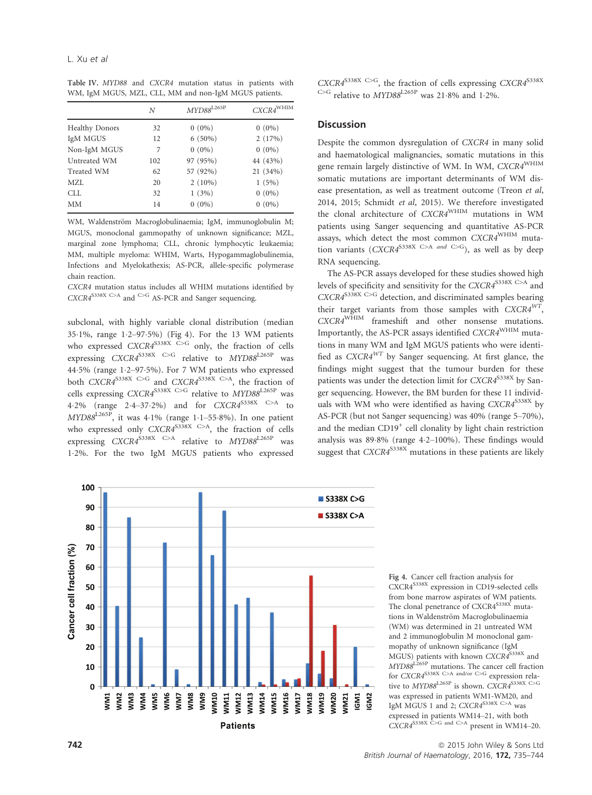Table IV. MYD88 and CXCR4 mutation status in patients with WM, IgM MGUS, MZL, CLL, MM and non-IgM MGUS patients.

|                       | N   | $\emph{MYD88}^{\rm L265P}$ | $CXCR4^{\rm WHIM}$ |
|-----------------------|-----|----------------------------|--------------------|
| <b>Healthy Donors</b> | 32  | $0(0\%)$                   | $0(0\%)$           |
| IgM MGUS              | 12  | $6(50\%)$                  | 2(17%)             |
| Non-IgM MGUS          | 7   | $0(0\%)$                   | $0(0\%)$           |
| Untreated WM          | 102 | 97 (95%)                   | 44 (43%)           |
| Treated WM            | 62  | 57 (92%)                   | 21 (34%)           |
| MZL                   | 20  | $2(10\%)$                  | 1(5%)              |
| CLL.                  | 32  | 1(3%)                      | $0(0\%)$           |
| <b>MM</b>             | 14  | $0(0\%)$                   | $0(0\%)$           |

WM, Waldenström Macroglobulinaemia; IgM, immunoglobulin M; MGUS, monoclonal gammopathy of unknown significance; MZL, marginal zone lymphoma; CLL, chronic lymphocytic leukaemia; MM, multiple myeloma: WHIM, Warts, Hypogammaglobulinemia, Infections and Myelokathexis; AS-PCR, allele-specific polymerase chain reaction.

CXCR4 mutation status includes all WHIM mutations identified by CXCR4<sup>S338X C>A</sup> and <sup>C>G</sup> AS-PCR and Sanger sequencing.

subclonal, with highly variable clonal distribution (median 351%, range 12–975%) (Fig 4). For the 13 WM patients who expressed  $CXCRA^{S338X}$  C>G only, the fraction of cells expressing  $CXCR4^{S338X}$  C>G relative to  $MYD88^{L265P}$  was 445% (range 12–975%). For 7 WM patients who expressed both CXCR4<sup>S338X C>G</sup> and CXCR4<sup>S338X C>A</sup>, the fraction of cells expressing CXCR4<sup>S338X C>G</sup> relative to MYD88<sup>L265P</sup> was 4.2% (range 2.4–37.2%) and for  $CXCR4^{5338X}$  C>A to  $MYD88^{L265P}$ , it was 4.1% (range 1.1–55.8%). In one patient who expressed only  $CXCRA^{S338X} \xrightarrow{C>A}$ , the fraction of cells expressing  $CXCR4^{S338X}$  C>A relative to  $MYD88^{L265P}$  was 12%. For the two IgM MGUS patients who expressed

# **Discussion**

Despite the common dysregulation of CXCR4 in many solid and haematological malignancies, somatic mutations in this gene remain largely distinctive of WM. In WM, CXCR4<sup>WHIM</sup> somatic mutations are important determinants of WM disease presentation, as well as treatment outcome (Treon et al, 2014, 2015; Schmidt et al, 2015). We therefore investigated the clonal architecture of CXCR4WHIM mutations in WM patients using Sanger sequencing and quantitative AS-PCR assays, which detect the most common CXCR4WHIM mutation variants (CXCR4<sup>S338X C>A and C>G</sup>), as well as by deep RNA sequencing.

The AS-PCR assays developed for these studies showed high levels of specificity and sensitivity for the CXCR4<sup>S338X C>A</sup> and  $CXCRA^{S338X}$  C>G detection, and discriminated samples bearing their target variants from those samples with  $CXCRA^{WT}$ , CXCR4WHIM frameshift and other nonsense mutations. Importantly, the AS-PCR assays identified CXCR4WHIM mutations in many WM and IgM MGUS patients who were identified as  $CXCRA^{WT}$  by Sanger sequencing. At first glance, the findings might suggest that the tumour burden for these patients was under the detection limit for CXCR4<sup>S338X</sup> by Sanger sequencing. However, the BM burden for these 11 individuals with WM who were identified as having  $CXCR4^{S338X}$  by AS-PCR (but not Sanger sequencing) was 40% (range 5–70%), and the median  $CD19<sup>+</sup>$  cell clonality by light chain restriction analysis was 89.8% (range 4.2-100%). These findings would suggest that  $CXCR4^{S338X}$  mutations in these patients are likely



Fig 4. Cancer cell fraction analysis for CXCR4S338X expression in CD19-selected cells from bone marrow aspirates of WM patients. The clonal penetrance of CXCR4<sup>S338X</sup> mutations in Waldenström Macroglobulinaemia (WM) was determined in 21 untreated WM and 2 immunoglobulin M monoclonal gammopathy of unknown significance (IgM MGUS) patients with known CXCR4S338X and MYD88L265P mutations. The cancer cell fraction for CXCR4<sup>S338X</sup> C>A and/or C>G expression relative to  $MYD88^{L265P}$  is shown.  $CXCR4^{S338X}$  C>G was expressed in patients WM1-WM20, and IgM MGUS 1 and 2; CXCR4<sup>S338X C>A</sup> was expressed in patients WM14–21, with both  $CXCRA^{S338X}$  C>G and C>A present in WM14–20.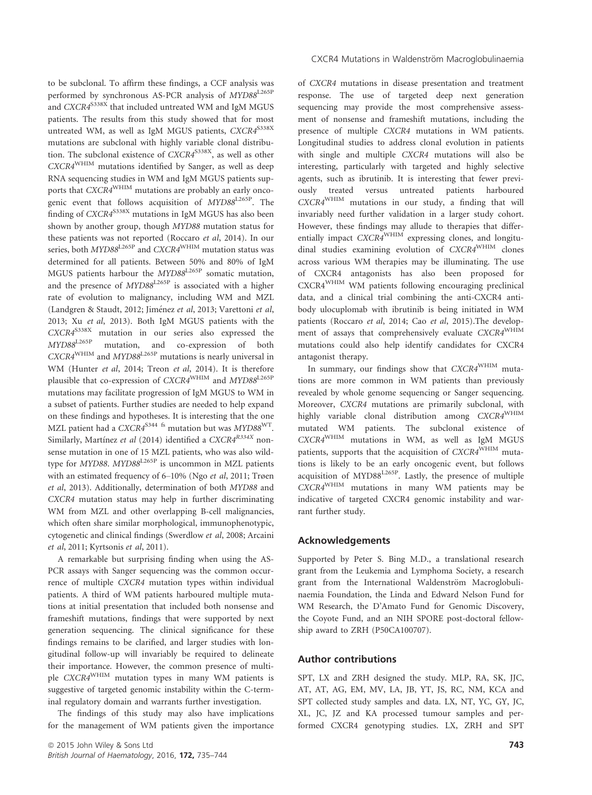to be subclonal. To affirm these findings, a CCF analysis was performed by synchronous AS-PCR analysis of MYD88<sup>L265P</sup> and CXCR4<sup>S338X</sup> that included untreated WM and IgM MGUS patients. The results from this study showed that for most untreated WM, as well as IgM MGUS patients, CXCR4<sup>S338X</sup> mutations are subclonal with highly variable clonal distribution. The subclonal existence of  $CXCRA^{S338X}$ , as well as other CXCR4WHIM mutations identified by Sanger, as well as deep RNA sequencing studies in WM and IgM MGUS patients supports that CXCR4WHIM mutations are probably an early oncogenic event that follows acquisition of  $MYD88^{L265P}$ . The finding of CXCR4<sup>S338X</sup> mutations in IgM MGUS has also been shown by another group, though MYD88 mutation status for these patients was not reported (Roccaro et al, 2014). In our series, both MYD88<sup>L265P</sup> and CXCR4<sup>WHIM</sup> mutation status was determined for all patients. Between 50% and 80% of IgM MGUS patients harbour the MYD88<sup>L265P</sup> somatic mutation, and the presence of  $MYD88^{L265P}$  is associated with a higher rate of evolution to malignancy, including WM and MZL (Landgren & Staudt, 2012; Jiménez et al, 2013; Varettoni et al, 2013; Xu et al, 2013). Both IgM MGUS patients with the  $CXCRA^{S338X}$  mutation in our series also expressed the MYD88L265P mutation, and co-expression of both  $CXCR4^{WHIM}$  and  $MYD88^{L265P}$  mutations is nearly universal in WM (Hunter et al, 2014; Treon et al, 2014). It is therefore plausible that co-expression of CXCR4<sup>WHIM</sup> and MYD88<sup>L265P</sup> mutations may facilitate progression of IgM MGUS to WM in a subset of patients. Further studies are needed to help expand on these findings and hypotheses. It is interesting that the one MZL patient had a CXCR4<sup>S344 fs</sup> mutation but was MYD88<sup>WT</sup>. Similarly, Martínez et al (2014) identified a CXCR4<sup>R334X</sup> nonsense mutation in one of 15 MZL patients, who was also wildtype for MYD88. MYD88 $L^{265P}$  is uncommon in MZL patients with an estimated frequency of 6–10% (Ngo et al, 2011; Trøen et al, 2013). Additionally, determination of both MYD88 and CXCR4 mutation status may help in further discriminating WM from MZL and other overlapping B-cell malignancies, which often share similar morphological, immunophenotypic, cytogenetic and clinical findings (Swerdlow et al, 2008; Arcaini et al, 2011; Kyrtsonis et al, 2011).

A remarkable but surprising finding when using the AS-PCR assays with Sanger sequencing was the common occurrence of multiple CXCR4 mutation types within individual patients. A third of WM patients harboured multiple mutations at initial presentation that included both nonsense and frameshift mutations, findings that were supported by next generation sequencing. The clinical significance for these findings remains to be clarified, and larger studies with longitudinal follow-up will invariably be required to delineate their importance. However, the common presence of multiple CXCR4WHIM mutation types in many WM patients is suggestive of targeted genomic instability within the C-terminal regulatory domain and warrants further investigation.

The findings of this study may also have implications for the management of WM patients given the importance of CXCR4 mutations in disease presentation and treatment response. The use of targeted deep next generation sequencing may provide the most comprehensive assessment of nonsense and frameshift mutations, including the presence of multiple CXCR4 mutations in WM patients. Longitudinal studies to address clonal evolution in patients with single and multiple CXCR4 mutations will also be interesting, particularly with targeted and highly selective agents, such as ibrutinib. It is interesting that fewer previously treated versus untreated patients harboured CXCR4WHIM mutations in our study, a finding that will invariably need further validation in a larger study cohort. However, these findings may allude to therapies that differentially impact CXCR4<sup>WHIM</sup> expressing clones, and longitudinal studies examining evolution of CXCR4WHIM clones across various WM therapies may be illuminating. The use of CXCR4 antagonists has also been proposed for CXCR4WHIM WM patients following encouraging preclinical data, and a clinical trial combining the anti-CXCR4 antibody ulocuplomab with ibrutinib is being initiated in WM patients (Roccaro et al, 2014; Cao et al, 2015).The development of assays that comprehensively evaluate CXCR4<sup>WHIM</sup> mutations could also help identify candidates for CXCR4 antagonist therapy.

In summary, our findings show that  $CXCR4^{WHIM}$  mutations are more common in WM patients than previously revealed by whole genome sequencing or Sanger sequencing. Moreover, CXCR4 mutations are primarily subclonal, with highly variable clonal distribution among CXCR4<sup>WHIM</sup> mutated WM patients. The subclonal existence of CXCR4WHIM mutations in WM, as well as IgM MGUS patients, supports that the acquisition of CXCR4<sup>WHIM</sup> mutations is likely to be an early oncogenic event, but follows acquisition of MYD88<sup>L265P</sup>. Lastly, the presence of multiple CXCR4WHIM mutations in many WM patients may be indicative of targeted CXCR4 genomic instability and warrant further study.

#### Acknowledgements

Supported by Peter S. Bing M.D., a translational research grant from the Leukemia and Lymphoma Society, a research grant from the International Waldenström Macroglobulinaemia Foundation, the Linda and Edward Nelson Fund for WM Research, the D'Amato Fund for Genomic Discovery, the Coyote Fund, and an NIH SPORE post-doctoral fellowship award to ZRH (P50CA100707).

## Author contributions

SPT, LX and ZRH designed the study. MLP, RA, SK, JJC, AT, AT, AG, EM, MV, LA, JB, YT, JS, RC, NM, KCA and SPT collected study samples and data. LX, NT, YC, GY, JC, XL, JC, JZ and KA processed tumour samples and performed CXCR4 genotyping studies. LX, ZRH and SPT